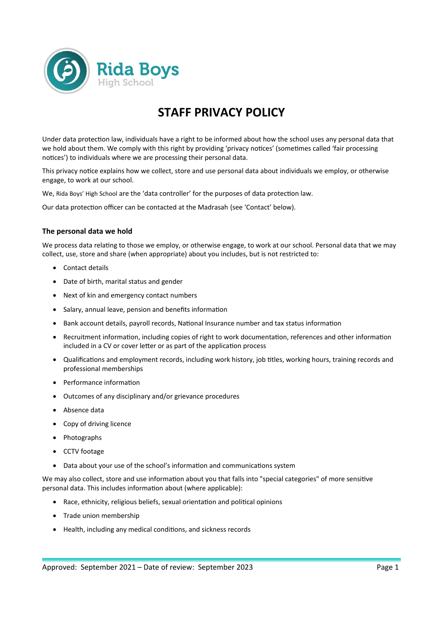

# **STAFF PRIVACY POLICY**

Under data protection law, individuals have a right to be informed about how the school uses any personal data that we hold about them. We comply with this right by providing 'privacy notices' (sometimes called 'fair processing notices') to individuals where we are processing their personal data.

This privacy notice explains how we collect, store and use personal data about individuals we employ, or otherwise engage, to work at our school.

We, Rida Boys' High School are the 'data controller' for the purposes of data protection law.

Our data protection officer can be contacted at the Madrasah (see 'Contact' below).

## **The personal data we hold**

We process data relating to those we employ, or otherwise engage, to work at our school. Personal data that we may collect, use, store and share (when appropriate) about you includes, but is not restricted to:

- Contact details
- Date of birth, marital status and gender
- Next of kin and emergency contact numbers
- Salary, annual leave, pension and benefits information
- Bank account details, payroll records, National Insurance number and tax status information
- Recruitment information, including copies of right to work documentation, references and other information included in a CV or cover letter or as part of the application process
- Qualifications and employment records, including work history, job titles, working hours, training records and professional memberships
- Performance information
- Outcomes of any disciplinary and/or grievance procedures
- Absence data
- Copy of driving licence
- Photographs
- CCTV footage
- Data about your use of the school's information and communications system

We may also collect, store and use information about you that falls into "special categories" of more sensitive personal data. This includes information about (where applicable):

- Race, ethnicity, religious beliefs, sexual orientation and political opinions
- Trade union membership
- Health, including any medical conditions, and sickness records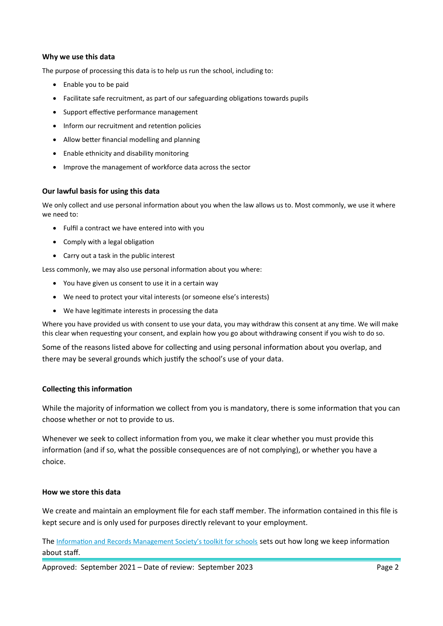## **Why we use this data**

The purpose of processing this data is to help us run the school, including to:

- Enable you to be paid
- Facilitate safe recruitment, as part of our safeguarding obligations towards pupils
- Support effective performance management
- Inform our recruitment and retention policies
- Allow better financial modelling and planning
- Enable ethnicity and disability monitoring
- Improve the management of workforce data across the sector

## **Our lawful basis for using this data**

We only collect and use personal information about you when the law allows us to. Most commonly, we use it where we need to:

- Fulfil a contract we have entered into with you
- Comply with a legal obligation
- Carry out a task in the public interest

Less commonly, we may also use personal information about you where:

- You have given us consent to use it in a certain way
- We need to protect your vital interests (or someone else's interests)
- We have legitimate interests in processing the data

Where you have provided us with consent to use your data, you may withdraw this consent at any time. We will make this clear when requesting your consent, and explain how you go about withdrawing consent if you wish to do so.

Some of the reasons listed above for collecting and using personal information about you overlap, and there may be several grounds which justify the school's use of your data.

# **Collecting this information**

While the majority of information we collect from you is mandatory, there is some information that you can choose whether or not to provide to us.

Whenever we seek to collect information from you, we make it clear whether you must provide this information (and if so, what the possible consequences are of not complying), or whether you have a choice.

### **How we store this data**

We create and maintain an employment file for each staff member. The information contained in this file is kept secure and is only used for purposes directly relevant to your employment.

The [Information and Records Management Society's toolkit for schools](http://irms.org.uk/?page=schoolstoolkit&terms=%22toolkit+and+schools%22) sets out how long we keep information about staff.

Approved: September 2021 – Date of review: September 2023 Page 2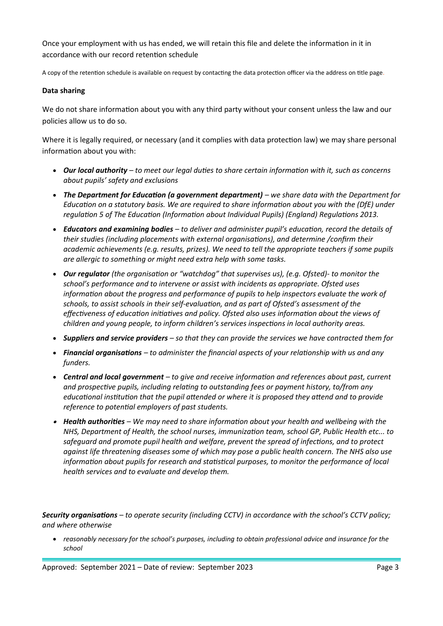Once your employment with us has ended, we will retain this file and delete the information in it in accordance with our record retention schedule

A copy of the retention schedule is available on request by contacting the data protection officer via the address on title page.

# **Data sharing**

We do not share information about you with any third party without your consent unless the law and our policies allow us to do so.

Where it is legally required, or necessary (and it complies with data protection law) we may share personal information about you with:

- *Our local authority to meet our legal duties to share certain information with it, such as concerns about pupils' safety and exclusions*
- *The Department for Education (a government department) we share data with the Department for Education on a statutory basis. We are required to share information about you with the (DfE) under regulation 5 of The Education (Information about Individual Pupils) (England) Regulations 2013.*
- *Educators and examining bodies to deliver and administer pupil's education, record the details of their studies (including placements with external organisations), and determine /confirm their academic achievements (e.g. results, prizes). We need to tell the appropriate teachers if some pupils are allergic to something or might need extra help with some tasks.*
- *Our regulator (the organisation or "watchdog" that supervises us), (e.g. Ofsted)- to monitor the school's performance and to intervene or assist with incidents as appropriate. Ofsted uses information about the progress and performance of pupils to help inspectors evaluate the work of schools, to assist schools in their self-evaluation, and as part of Ofsted's assessment of the effectiveness of education initiatives and policy. Ofsted also uses information about the views of children and young people, to inform children's services inspections in local authority areas.*
- *Suppliers and service providers so that they can provide the services we have contracted them for*
- *Financial organisations to administer the financial aspects of your relationship with us and any funders.*
- *Central and local government to give and receive information and references about past, current and prospective pupils, including relating to outstanding fees or payment history, to/from any educational institution that the pupil attended or where it is proposed they attend and to provide reference to potential employers of past students.*
- *Health authorities We may need to share information about your health and wellbeing with the NHS, Department of Health, the school nurses, immunization team, school GP, Public Health etc... to safeguard and promote pupil health and welfare, prevent the spread of infections, and to protect against life threatening diseases some of which may pose a public health concern. The NHS also use information about pupils for research and statistical purposes, to monitor the performance of local health services and to evaluate and develop them.*

*Security organisations – to operate security (including CCTV) in accordance with the school's CCTV policy; and where otherwise*

 *reasonably necessary for the school's purposes, including to obtain professional advice and insurance for the school*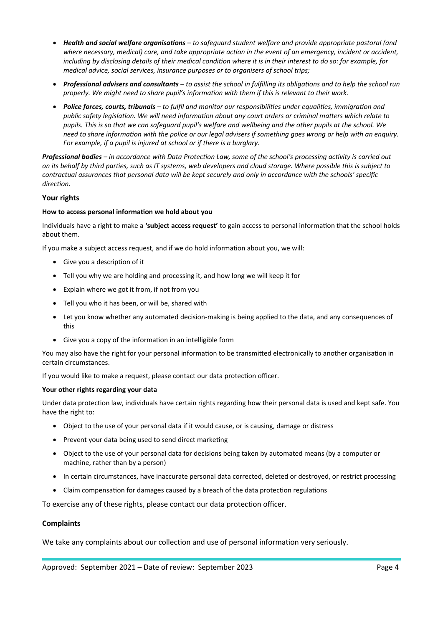- *Health and social welfare organisations to safeguard student welfare and provide appropriate pastoral (and*  where necessary, medical) care, and take appropriate action in the event of an emergency, incident or accident, including by disclosing details of their medical condition where it is in their interest to do so: for example, for *medical advice, social services, insurance purposes or to organisers of school trips;*
- *Professional advisers and consultants to assist the school in fulfilling its obligations and to help the school run properly. We might need to share pupil's information with them if this is relevant to their work.*
- *Police forces, courts, tribunals to fulfil and monitor our responsibilities under equalities, immigration and public safety legislation. We will need information about any court orders or criminal matters which relate to pupils. This is so that we can safeguard pupil's welfare and wellbeing and the other pupils at the school. We need to share information with the police or our legal advisers if something goes wrong or help with an enquiry. For example, if a pupil is injured at school or if there is a burglary.*

*Professional bodies – in accordance with Data Protection Law, some of the school's processing activity is carried out on its behalf by third parties, such as IT systems, web developers and cloud storage. Where possible this is subject to contractual assurances that personal data will be kept securely and only in accordance with the schools' specific direction.*

## **Your rights**

### **How to access personal information we hold about you**

Individuals have a right to make a **'subject access request'** to gain access to personal information that the school holds about them.

If you make a subject access request, and if we do hold information about you, we will:

- Give you a description of it
- Tell you why we are holding and processing it, and how long we will keep it for
- Explain where we got it from, if not from you
- Tell you who it has been, or will be, shared with
- Let you know whether any automated decision-making is being applied to the data, and any consequences of this
- Give you a copy of the information in an intelligible form

You may also have the right for your personal information to be transmitted electronically to another organisation in certain circumstances.

If you would like to make a request, please contact our data protection officer.

### **Your other rights regarding your data**

Under data protection law, individuals have certain rights regarding how their personal data is used and kept safe. You have the right to:

- Object to the use of your personal data if it would cause, or is causing, damage or distress
- Prevent your data being used to send direct marketing
- Object to the use of your personal data for decisions being taken by automated means (by a computer or machine, rather than by a person)
- In certain circumstances, have inaccurate personal data corrected, deleted or destroyed, or restrict processing
- Claim compensation for damages caused by a breach of the data protection regulations

To exercise any of these rights, please contact our data protection officer.

### **Complaints**

We take any complaints about our collection and use of personal information very seriously.